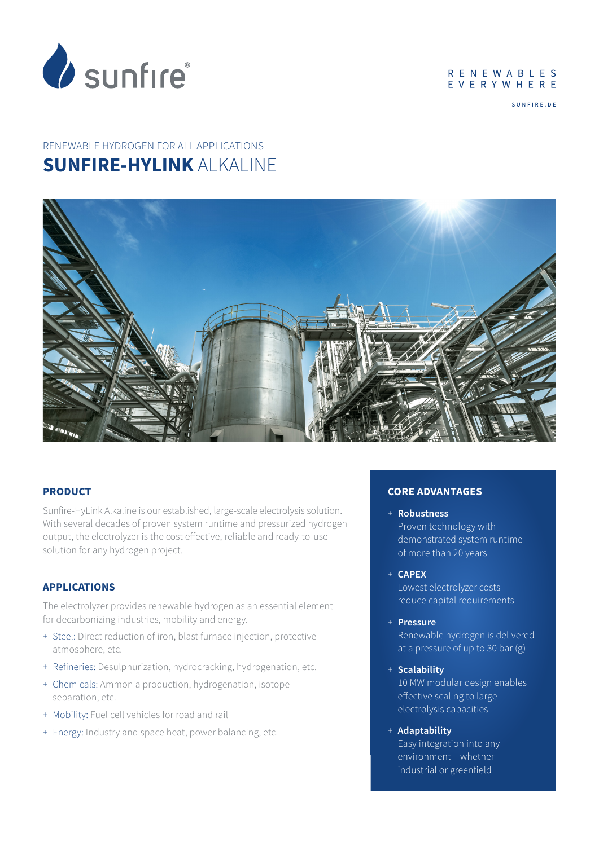

#### **RENEWABLES** EVERYWHERE

SUNFIRE DE

# RENEWABLE HYDROGEN FOR ALL APPLICATIONS **SUNFIRE-HYLINK** ALKALINE



## **PRODUCT**

Sunfire-HyLink Alkaline is our established, large-scale electrolysis solution. With several decades of proven system runtime and pressurized hydrogen output, the electrolyzer is the cost effective, reliable and ready-to-use solution for any hydrogen project.

#### **APPLICATIONS**

The electrolyzer provides renewable hydrogen as an essential element for decarbonizing industries, mobility and energy.

- + Steel: Direct reduction of iron, blast furnace injection, protective atmosphere, etc.
- + Refineries: Desulphurization, hydrocracking, hydrogenation, etc.
- + Chemicals: Ammonia production, hydrogenation, isotope separation, etc.
- + Mobility: Fuel cell vehicles for road and rail
- + Energy: Industry and space heat, power balancing, etc.

## **CORE ADVANTAGES**

- + **Robustness**  Proven technology with demonstrated system runtime of more than 20 years
- + **CAPEX**

Lowest electrolyzer costs reduce capital requirements

+ **Pressure**

Renewable hydrogen is delivered at a pressure of up to 30 bar (g)

- + **Scalability** 10 MW modular design enables effective scaling to large electrolysis capacities
- + **Adaptability** Easy integration into any environment – whether industrial or greenfield